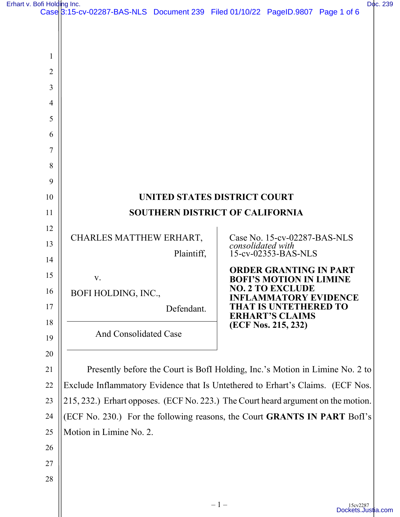[Erhart v. Bofi Holding Inc.](https://dockets.justia.com/docket/california/casdce/3:2015cv02287/486757/) [Doc. 239](https://docs.justia.com/cases/federal/district-courts/california/casdce/3:2015cv02287/486757/239/)

| on Holding inc. | Case 3:15-cv-02287-BAS-NLS Document 239 Filed 01/10/22 PageID.9807 Page 1 of 6    |            |                   |                                                                 |  | υų |
|-----------------|-----------------------------------------------------------------------------------|------------|-------------------|-----------------------------------------------------------------|--|----|
|                 |                                                                                   |            |                   |                                                                 |  |    |
|                 |                                                                                   |            |                   |                                                                 |  |    |
| 1               |                                                                                   |            |                   |                                                                 |  |    |
| $\overline{2}$  |                                                                                   |            |                   |                                                                 |  |    |
| 3               |                                                                                   |            |                   |                                                                 |  |    |
| 4               |                                                                                   |            |                   |                                                                 |  |    |
| 5               |                                                                                   |            |                   |                                                                 |  |    |
| 6               |                                                                                   |            |                   |                                                                 |  |    |
| 7               |                                                                                   |            |                   |                                                                 |  |    |
| 8               |                                                                                   |            |                   |                                                                 |  |    |
| 9               |                                                                                   |            |                   |                                                                 |  |    |
| 10              | UNITED STATES DISTRICT COURT                                                      |            |                   |                                                                 |  |    |
| 11              | <b>SOUTHERN DISTRICT OF CALIFORNIA</b>                                            |            |                   |                                                                 |  |    |
| 12              |                                                                                   |            |                   |                                                                 |  |    |
| 13              | CHARLES MATTHEW ERHART,                                                           |            | consolidated with | Case No. 15-cv-02287-BAS-NLS<br>15-cv-02353-BAS-NLS             |  |    |
| 14              |                                                                                   | Plaintiff, |                   |                                                                 |  |    |
| 15              | V.                                                                                |            |                   | <b>ORDER GRANTING IN PART</b><br><b>BOFI'S MOTION IN LIMINE</b> |  |    |
| 16              | BOFI HOLDING, INC.,                                                               |            |                   | <b>NO. 2 TO EXCLUDE</b><br><b>INFLAMMATORY EVIDENCE</b>         |  |    |
| 17              |                                                                                   | Defendant. |                   | HAT IS UNTETHERED TO<br><b>ERHART'S CLAIMS</b>                  |  |    |
| 18              | <b>And Consolidated Case</b>                                                      |            |                   | (ECF Nos. 215, 232)                                             |  |    |
| 19              |                                                                                   |            |                   |                                                                 |  |    |
| 20              |                                                                                   |            |                   |                                                                 |  |    |
| 21              | Presently before the Court is BofI Holding, Inc.'s Motion in Limine No. 2 to      |            |                   |                                                                 |  |    |
| 22              | Exclude Inflammatory Evidence that Is Untethered to Erhart's Claims. (ECF Nos.    |            |                   |                                                                 |  |    |
| 23              | 215, 232.) Erhart opposes. (ECF No. 223.) The Court heard argument on the motion. |            |                   |                                                                 |  |    |
| 24              | (ECF No. 230.) For the following reasons, the Court <b>GRANTS IN PART</b> Boff's  |            |                   |                                                                 |  |    |
| 25<br>26        | Motion in Limine No. 2.                                                           |            |                   |                                                                 |  |    |
| 27              |                                                                                   |            |                   |                                                                 |  |    |
| 28              |                                                                                   |            |                   |                                                                 |  |    |
|                 |                                                                                   |            |                   |                                                                 |  |    |
|                 |                                                                                   |            |                   |                                                                 |  |    |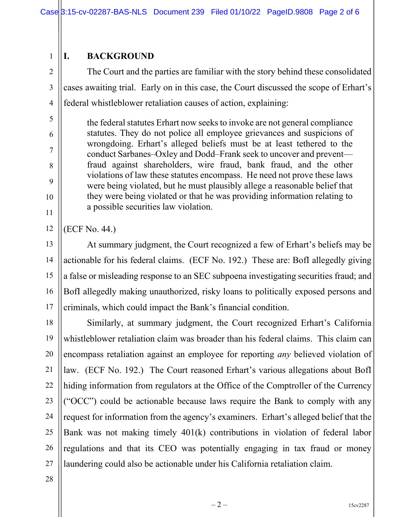## 1 **I. BACKGROUND**

2 3 4 The Court and the parties are familiar with the story behind these consolidated cases awaiting trial. Early on in this case, the Court discussed the scope of Erhart's federal whistleblower retaliation causes of action, explaining:

the federal statutes Erhart now seeks to invoke are not general compliance statutes. They do not police all employee grievances and suspicions of wrongdoing. Erhart's alleged beliefs must be at least tethered to the conduct Sarbanes–Oxley and Dodd–Frank seek to uncover and prevent fraud against shareholders, wire fraud, bank fraud, and the other violations of law these statutes encompass. He need not prove these laws were being violated, but he must plausibly allege a reasonable belief that they were being violated or that he was providing information relating to a possible securities law violation.

12 (ECF No. 44.)

5

6

7

8

9

10

11

13 14 15 16 17 At summary judgment, the Court recognized a few of Erhart's beliefs may be actionable for his federal claims. (ECF No. 192.) These are: BofI allegedly giving a false or misleading response to an SEC subpoena investigating securities fraud; and BofI allegedly making unauthorized, risky loans to politically exposed persons and criminals, which could impact the Bank's financial condition.

18 19 20 21 22 23 24 25 26 27 Similarly, at summary judgment, the Court recognized Erhart's California whistleblower retaliation claim was broader than his federal claims. This claim can encompass retaliation against an employee for reporting *any* believed violation of law. (ECF No. 192.) The Court reasoned Erhart's various allegations about BofI hiding information from regulators at the Office of the Comptroller of the Currency ("OCC") could be actionable because laws require the Bank to comply with any request for information from the agency's examiners. Erhart's alleged belief that the Bank was not making timely 401(k) contributions in violation of federal labor regulations and that its CEO was potentially engaging in tax fraud or money laundering could also be actionable under his California retaliation claim.

28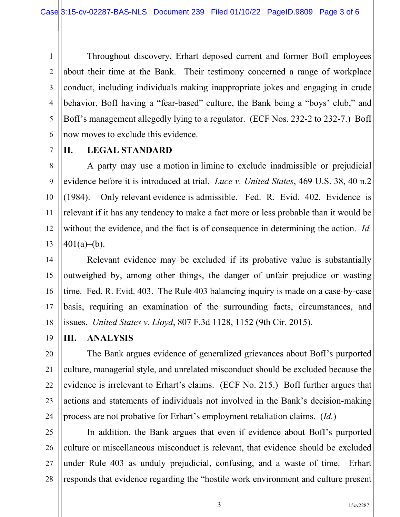1 2 3 4 5 6 Throughout discovery, Erhart deposed current and former BofI employees about their time at the Bank. Their testimony concerned a range of workplace conduct, including individuals making inappropriate jokes and engaging in crude behavior, BofI having a "fear-based" culture, the Bank being a "boys' club," and BofI's management allegedly lying to a regulator. (ECF Nos. 232-2 to 232-7.) BofI now moves to exclude this evidence.

7

## **II. LEGAL STANDARD**

8 9 10 11 12 13 A party may use a motion in limine to exclude inadmissible or prejudicial evidence before it is introduced at trial. *Luce v. United States*, 469 U.S. 38, 40 n.2 (1984). Only relevant evidence is admissible. Fed. R. Evid. 402. Evidence is relevant if it has any tendency to make a fact more or less probable than it would be without the evidence, and the fact is of consequence in determining the action. *Id.*  $401(a)$ –(b).

14 15 16 17 18 Relevant evidence may be excluded if its probative value is substantially outweighed by, among other things, the danger of unfair prejudice or wasting time. Fed. R. Evid. 403. The Rule 403 balancing inquiry is made on a case-by-case basis, requiring an examination of the surrounding facts, circumstances, and issues. *United States v. Lloyd*, 807 F.3d 1128, 1152 (9th Cir. 2015).

19 **III. ANALYSIS**

20 21 22 23 24 The Bank argues evidence of generalized grievances about BofI's purported culture, managerial style, and unrelated misconduct should be excluded because the evidence is irrelevant to Erhart's claims. (ECF No. 215.) BofI further argues that actions and statements of individuals not involved in the Bank's decision-making process are not probative for Erhart's employment retaliation claims. (*Id.*)

25 26 27 28 In addition, the Bank argues that even if evidence about BofI's purported culture or miscellaneous misconduct is relevant, that evidence should be excluded under Rule 403 as unduly prejudicial, confusing, and a waste of time. Erhart responds that evidence regarding the "hostile work environment and culture present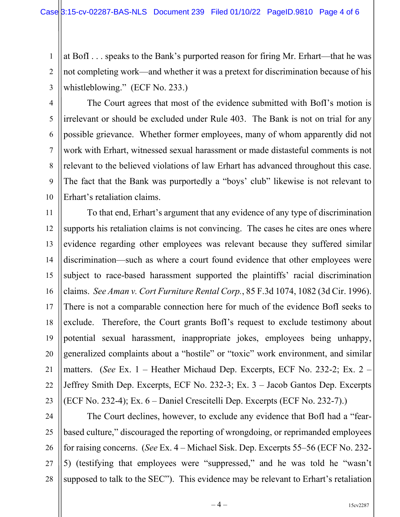1 2 3 at BofI . . . speaks to the Bank's purported reason for firing Mr. Erhart—that he was not completing work—and whether it was a pretext for discrimination because of his whistleblowing." (ECF No. 233.)

4 5 6 7 8 9 10 The Court agrees that most of the evidence submitted with BofI's motion is irrelevant or should be excluded under Rule 403. The Bank is not on trial for any possible grievance. Whether former employees, many of whom apparently did not work with Erhart, witnessed sexual harassment or made distasteful comments is not relevant to the believed violations of law Erhart has advanced throughout this case. The fact that the Bank was purportedly a "boys' club" likewise is not relevant to Erhart's retaliation claims.

11 12 13 14 15 16 17 18 19 20 21 22 23 To that end, Erhart's argument that any evidence of any type of discrimination supports his retaliation claims is not convincing. The cases he cites are ones where evidence regarding other employees was relevant because they suffered similar discrimination—such as where a court found evidence that other employees were subject to race-based harassment supported the plaintiffs' racial discrimination claims. *See Aman v. Cort Furniture Rental Corp.*, 85 F.3d 1074, 1082 (3d Cir. 1996). There is not a comparable connection here for much of the evidence BofI seeks to exclude. Therefore, the Court grants BofI's request to exclude testimony about potential sexual harassment, inappropriate jokes, employees being unhappy, generalized complaints about a "hostile" or "toxic" work environment, and similar matters. (*See* Ex. 1 – Heather Michaud Dep. Excerpts, ECF No. 232-2; Ex. 2 – Jeffrey Smith Dep. Excerpts, ECF No. 232-3; Ex. 3 – Jacob Gantos Dep. Excerpts (ECF No. 232-4); Ex. 6 – Daniel Crescitelli Dep. Excerpts (ECF No. 232-7).)

24

25 26 27 28 The Court declines, however, to exclude any evidence that BofI had a "fearbased culture," discouraged the reporting of wrongdoing, or reprimanded employees for raising concerns. (*See* Ex. 4 – Michael Sisk. Dep. Excerpts 55–56 (ECF No. 232- 5) (testifying that employees were "suppressed," and he was told he "wasn't supposed to talk to the SEC"). This evidence may be relevant to Erhart's retaliation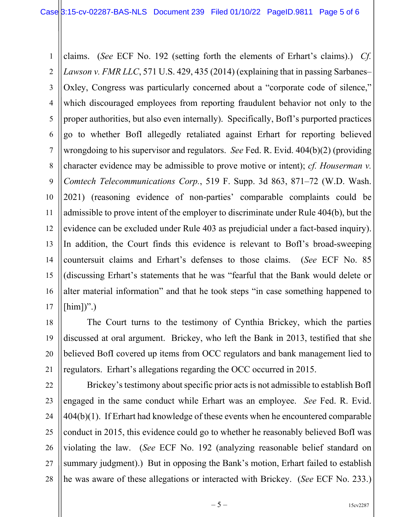1 2 3 4 5 6 7 8 9 10 11 12 13 14 15 16 17 claims. (*See* ECF No. 192 (setting forth the elements of Erhart's claims).) *Cf. Lawson v. FMR LLC*, 571 U.S. 429, 435 (2014) (explaining that in passing Sarbanes– Oxley, Congress was particularly concerned about a "corporate code of silence," which discouraged employees from reporting fraudulent behavior not only to the proper authorities, but also even internally). Specifically, BofI's purported practices go to whether BofI allegedly retaliated against Erhart for reporting believed wrongdoing to his supervisor and regulators. *See* Fed. R. Evid. 404(b)(2) (providing character evidence may be admissible to prove motive or intent); *cf. Houserman v. Comtech Telecommunications Corp.*, 519 F. Supp. 3d 863, 871–72 (W.D. Wash. 2021) (reasoning evidence of non-parties' comparable complaints could be admissible to prove intent of the employer to discriminate under Rule 404(b), but the evidence can be excluded under Rule 403 as prejudicial under a fact-based inquiry). In addition, the Court finds this evidence is relevant to BofI's broad-sweeping countersuit claims and Erhart's defenses to those claims. (*See* ECF No. 85 (discussing Erhart's statements that he was "fearful that the Bank would delete or alter material information" and that he took steps "in case something happened to  $[\text{him}]$ ".)

18 19 20 21 The Court turns to the testimony of Cynthia Brickey, which the parties discussed at oral argument. Brickey, who left the Bank in 2013, testified that she believed BofI covered up items from OCC regulators and bank management lied to regulators. Erhart's allegations regarding the OCC occurred in 2015.

22 23 24 25 26 27 28 Brickey's testimony about specific prior acts is not admissible to establish BofI engaged in the same conduct while Erhart was an employee. *See* Fed. R. Evid. 404(b)(1). If Erhart had knowledge of these events when he encountered comparable conduct in 2015, this evidence could go to whether he reasonably believed BofI was violating the law. (*See* ECF No. 192 (analyzing reasonable belief standard on summary judgment).) But in opposing the Bank's motion, Erhart failed to establish he was aware of these allegations or interacted with Brickey. (*See* ECF No. 233.)